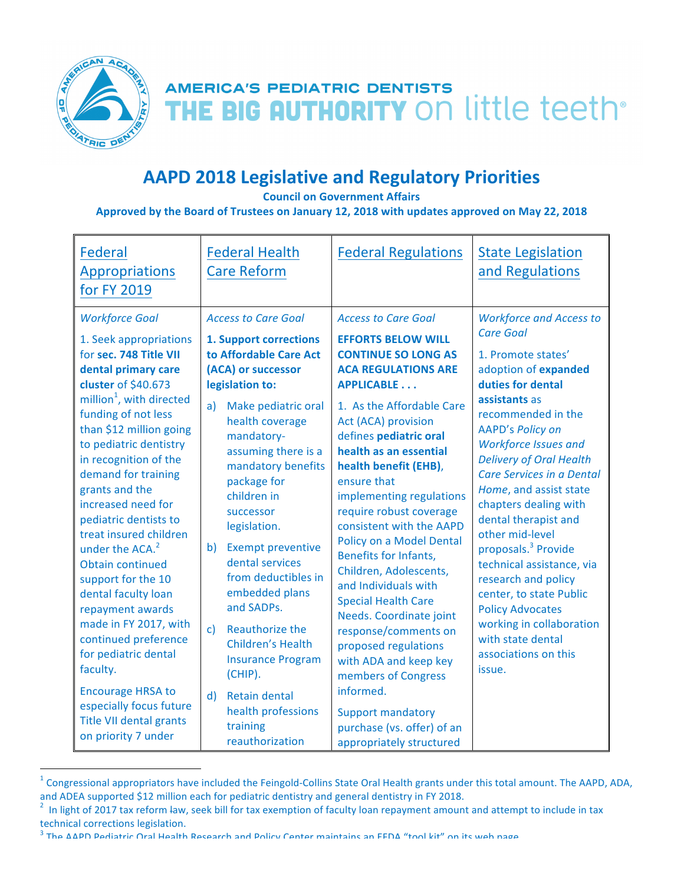

<u>.</u>

## **AAPD 2018 Legislative and Regulatory Priorities**

**Council on Government Affairs** 

## **Approved by the Board of Trustees on January 12, 2018 with updates approved on May 22, 2018**

 $1$  Congressional appropriators have included the Feingold-Collins State Oral Health grants under this total amount. The AAPD, ADA, and ADEA supported \$12 million each for pediatric dentistry and general dentistry in FY 2018.<br><sup>2</sup> In light of 2017 tax reform law, seek bill for tax exemption of faculty loan repayment amount and attempt to include in tax

technical corrections legislation.<br><sup>3</sup> The AAPD Pediatric Oral Health Research and Policy Center maintains an EEDA "tool kit" on its web nage.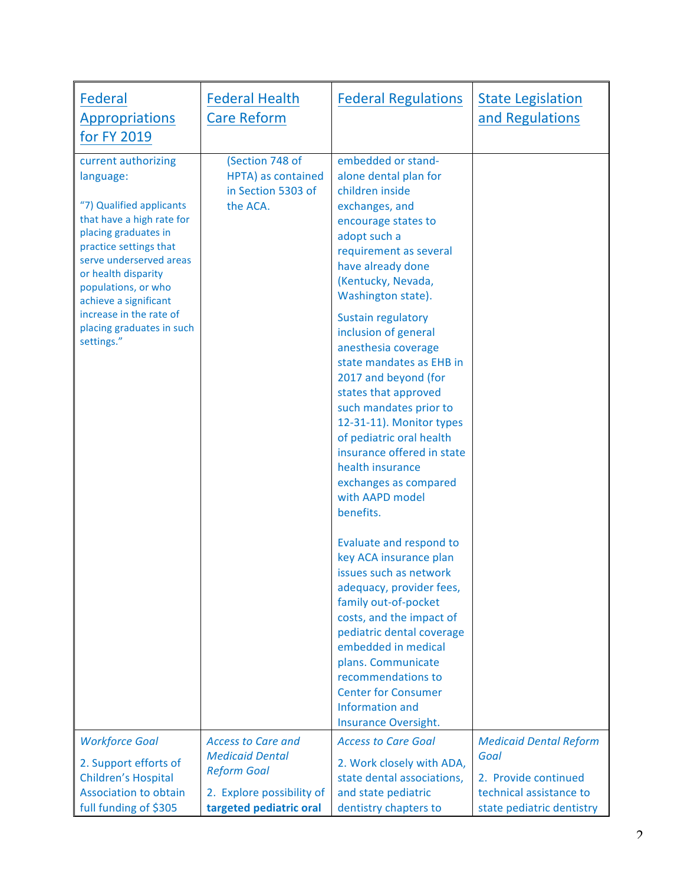| Federal<br><b>Appropriations</b><br>for FY 2019                                                                                                                                                                                                                                                                     | <b>Federal Health</b><br><b>Care Reform</b>                               | <b>Federal Regulations</b>                                                                                                                                                                                                                                                                                                                                                                                                                                                                                                                                                                                                                                                                                                                                                                                                                                                                               | <b>State Legislation</b><br>and Regulations                                  |
|---------------------------------------------------------------------------------------------------------------------------------------------------------------------------------------------------------------------------------------------------------------------------------------------------------------------|---------------------------------------------------------------------------|----------------------------------------------------------------------------------------------------------------------------------------------------------------------------------------------------------------------------------------------------------------------------------------------------------------------------------------------------------------------------------------------------------------------------------------------------------------------------------------------------------------------------------------------------------------------------------------------------------------------------------------------------------------------------------------------------------------------------------------------------------------------------------------------------------------------------------------------------------------------------------------------------------|------------------------------------------------------------------------------|
| current authorizing<br>language:<br>"7) Qualified applicants<br>that have a high rate for<br>placing graduates in<br>practice settings that<br>serve underserved areas<br>or health disparity<br>populations, or who<br>achieve a significant<br>increase in the rate of<br>placing graduates in such<br>settings." | (Section 748 of<br>HPTA) as contained<br>in Section 5303 of<br>the ACA.   | embedded or stand-<br>alone dental plan for<br>children inside<br>exchanges, and<br>encourage states to<br>adopt such a<br>requirement as several<br>have already done<br>(Kentucky, Nevada,<br>Washington state).<br>Sustain regulatory<br>inclusion of general<br>anesthesia coverage<br>state mandates as EHB in<br>2017 and beyond (for<br>states that approved<br>such mandates prior to<br>12-31-11). Monitor types<br>of pediatric oral health<br>insurance offered in state<br>health insurance<br>exchanges as compared<br>with AAPD model<br>benefits.<br>Evaluate and respond to<br>key ACA insurance plan<br>issues such as network<br>adequacy, provider fees,<br>family out-of-pocket<br>costs, and the impact of<br>pediatric dental coverage<br>embedded in medical<br>plans. Communicate<br>recommendations to<br><b>Center for Consumer</b><br>Information and<br>Insurance Oversight. |                                                                              |
| <b>Workforce Goal</b><br>2. Support efforts of                                                                                                                                                                                                                                                                      | <b>Access to Care and</b><br><b>Medicaid Dental</b><br><b>Reform Goal</b> | <b>Access to Care Goal</b><br>2. Work closely with ADA,                                                                                                                                                                                                                                                                                                                                                                                                                                                                                                                                                                                                                                                                                                                                                                                                                                                  | <b>Medicaid Dental Reform</b><br>Goal                                        |
| <b>Children's Hospital</b><br><b>Association to obtain</b><br>full funding of \$305                                                                                                                                                                                                                                 | 2. Explore possibility of<br>targeted pediatric oral                      | state dental associations,<br>and state pediatric<br>dentistry chapters to                                                                                                                                                                                                                                                                                                                                                                                                                                                                                                                                                                                                                                                                                                                                                                                                                               | 2. Provide continued<br>technical assistance to<br>state pediatric dentistry |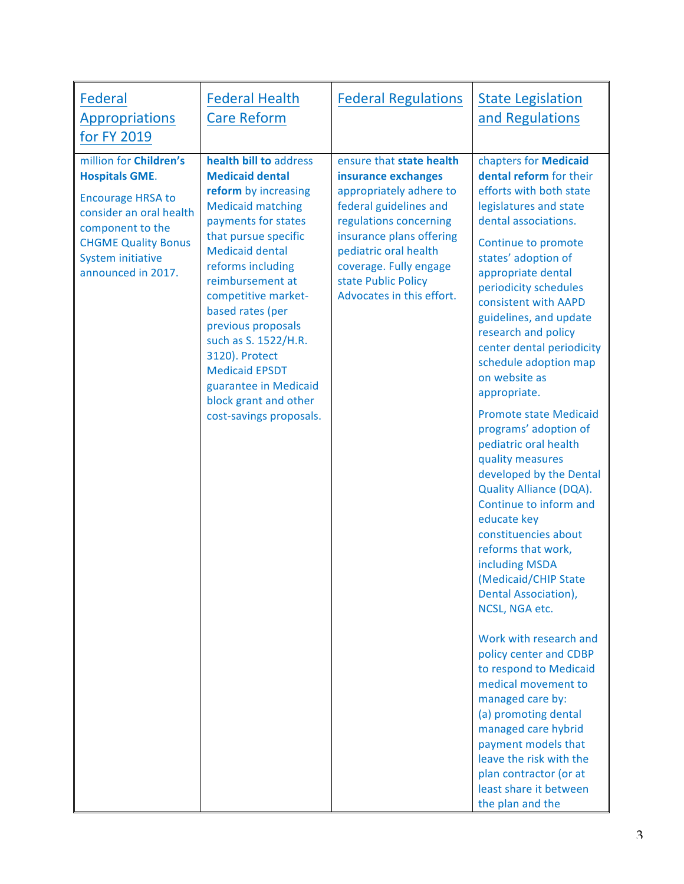| <b>Federal</b><br><b>Appropriations</b><br>for FY 2019                                                                                                                                                     | <b>Federal Health</b><br><b>Care Reform</b>                                                                                                                                                                                                                                                                                                                                                                                             | <b>Federal Regulations</b>                                                                                                                                                                                                                                        | <b>State Legislation</b><br>and Regulations                                                                                                                                                                                                                                                                                                                                                                                                                                                                                                                                                                                                                                                                                                                                                                                                                                                                                                                                                                                                 |
|------------------------------------------------------------------------------------------------------------------------------------------------------------------------------------------------------------|-----------------------------------------------------------------------------------------------------------------------------------------------------------------------------------------------------------------------------------------------------------------------------------------------------------------------------------------------------------------------------------------------------------------------------------------|-------------------------------------------------------------------------------------------------------------------------------------------------------------------------------------------------------------------------------------------------------------------|---------------------------------------------------------------------------------------------------------------------------------------------------------------------------------------------------------------------------------------------------------------------------------------------------------------------------------------------------------------------------------------------------------------------------------------------------------------------------------------------------------------------------------------------------------------------------------------------------------------------------------------------------------------------------------------------------------------------------------------------------------------------------------------------------------------------------------------------------------------------------------------------------------------------------------------------------------------------------------------------------------------------------------------------|
| million for Children's<br><b>Hospitals GME.</b><br><b>Encourage HRSA to</b><br>consider an oral health<br>component to the<br><b>CHGME Quality Bonus</b><br><b>System initiative</b><br>announced in 2017. | health bill to address<br><b>Medicaid dental</b><br>reform by increasing<br><b>Medicaid matching</b><br>payments for states<br>that pursue specific<br><b>Medicaid dental</b><br>reforms including<br>reimbursement at<br>competitive market-<br>based rates (per<br>previous proposals<br>such as S. 1522/H.R.<br>3120). Protect<br><b>Medicaid EPSDT</b><br>guarantee in Medicaid<br>block grant and other<br>cost-savings proposals. | ensure that state health<br>insurance exchanges<br>appropriately adhere to<br>federal guidelines and<br>regulations concerning<br>insurance plans offering<br>pediatric oral health<br>coverage. Fully engage<br>state Public Policy<br>Advocates in this effort. | chapters for Medicaid<br>dental reform for their<br>efforts with both state<br>legislatures and state<br>dental associations.<br>Continue to promote<br>states' adoption of<br>appropriate dental<br>periodicity schedules<br>consistent with AAPD<br>guidelines, and update<br>research and policy<br>center dental periodicity<br>schedule adoption map<br>on website as<br>appropriate.<br><b>Promote state Medicaid</b><br>programs' adoption of<br>pediatric oral health<br>quality measures<br>developed by the Dental<br><b>Quality Alliance (DQA).</b><br>Continue to inform and<br>educate key<br>constituencies about<br>reforms that work,<br>including MSDA<br>(Medicaid/CHIP State<br>Dental Association),<br>NCSL, NGA etc.<br>Work with research and<br>policy center and CDBP<br>to respond to Medicaid<br>medical movement to<br>managed care by:<br>(a) promoting dental<br>managed care hybrid<br>payment models that<br>leave the risk with the<br>plan contractor (or at<br>least share it between<br>the plan and the |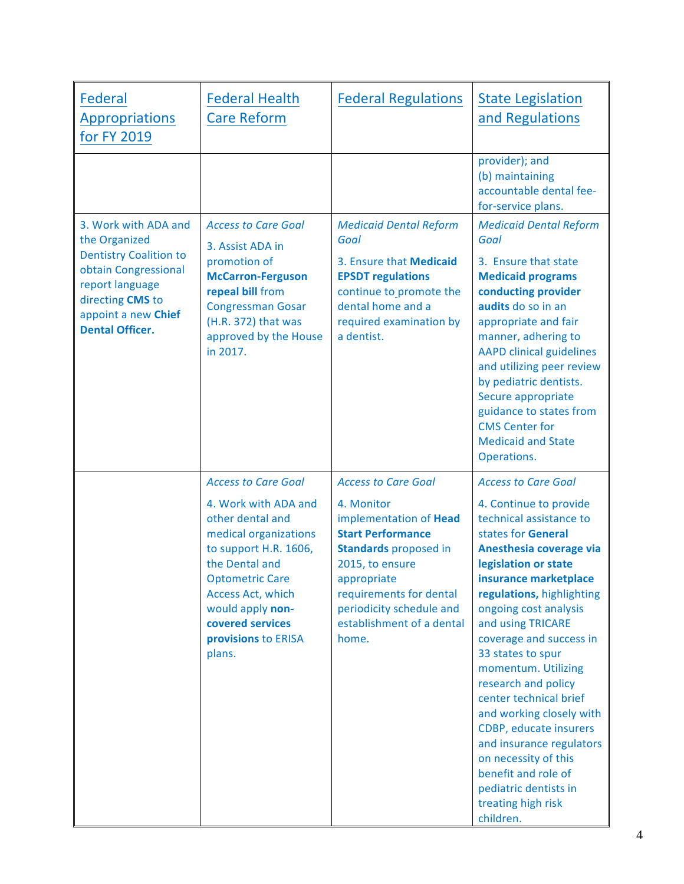| Federal<br><b>Appropriations</b><br>for FY 2019                                                                                                                                        | <b>Federal Health</b><br><b>Care Reform</b>                                                                                                                                                                                          | <b>Federal Regulations</b>                                                                                                                                                                                                      | <b>State Legislation</b><br>and Regulations                                                                                                                                                                                                                                                                                                                                                                                                                                                                                                         |
|----------------------------------------------------------------------------------------------------------------------------------------------------------------------------------------|--------------------------------------------------------------------------------------------------------------------------------------------------------------------------------------------------------------------------------------|---------------------------------------------------------------------------------------------------------------------------------------------------------------------------------------------------------------------------------|-----------------------------------------------------------------------------------------------------------------------------------------------------------------------------------------------------------------------------------------------------------------------------------------------------------------------------------------------------------------------------------------------------------------------------------------------------------------------------------------------------------------------------------------------------|
|                                                                                                                                                                                        |                                                                                                                                                                                                                                      |                                                                                                                                                                                                                                 | provider); and<br>(b) maintaining<br>accountable dental fee-<br>for-service plans.                                                                                                                                                                                                                                                                                                                                                                                                                                                                  |
| 3. Work with ADA and<br>the Organized<br><b>Dentistry Coalition to</b><br>obtain Congressional<br>report language<br>directing CMS to<br>appoint a new Chief<br><b>Dental Officer.</b> | <b>Access to Care Goal</b><br>3. Assist ADA in<br>promotion of<br><b>McCarron-Ferguson</b><br>repeal bill from<br><b>Congressman Gosar</b><br>(H.R. 372) that was<br>approved by the House<br>in 2017.                               | <b>Medicaid Dental Reform</b><br>Goal<br>3. Ensure that Medicaid<br><b>EPSDT</b> regulations<br>continue to_promote the<br>dental home and a<br>required examination by<br>a dentist.                                           | <b>Medicaid Dental Reform</b><br>Goal<br>3. Ensure that state<br><b>Medicaid programs</b><br>conducting provider<br>audits do so in an<br>appropriate and fair<br>manner, adhering to<br><b>AAPD clinical guidelines</b><br>and utilizing peer review<br>by pediatric dentists.<br>Secure appropriate<br>guidance to states from<br><b>CMS Center for</b><br><b>Medicaid and State</b><br>Operations.                                                                                                                                               |
|                                                                                                                                                                                        | <b>Access to Care Goal</b>                                                                                                                                                                                                           | <b>Access to Care Goal</b>                                                                                                                                                                                                      | <b>Access to Care Goal</b>                                                                                                                                                                                                                                                                                                                                                                                                                                                                                                                          |
|                                                                                                                                                                                        | 4. Work with ADA and<br>other dental and<br>medical organizations<br>to support H.R. 1606,<br>the Dental and<br><b>Optometric Care</b><br>Access Act, which<br>would apply non-<br>covered services<br>provisions to ERISA<br>plans. | 4. Monitor<br>implementation of Head<br><b>Start Performance</b><br><b>Standards</b> proposed in<br>2015, to ensure<br>appropriate<br>requirements for dental<br>periodicity schedule and<br>establishment of a dental<br>home. | 4. Continue to provide<br>technical assistance to<br>states for General<br>Anesthesia coverage via<br>legislation or state<br>insurance marketplace<br>regulations, highlighting<br>ongoing cost analysis<br>and using TRICARE<br>coverage and success in<br>33 states to spur<br>momentum. Utilizing<br>research and policy<br>center technical brief<br>and working closely with<br>CDBP, educate insurers<br>and insurance regulators<br>on necessity of this<br>benefit and role of<br>pediatric dentists in<br>treating high risk<br>children. |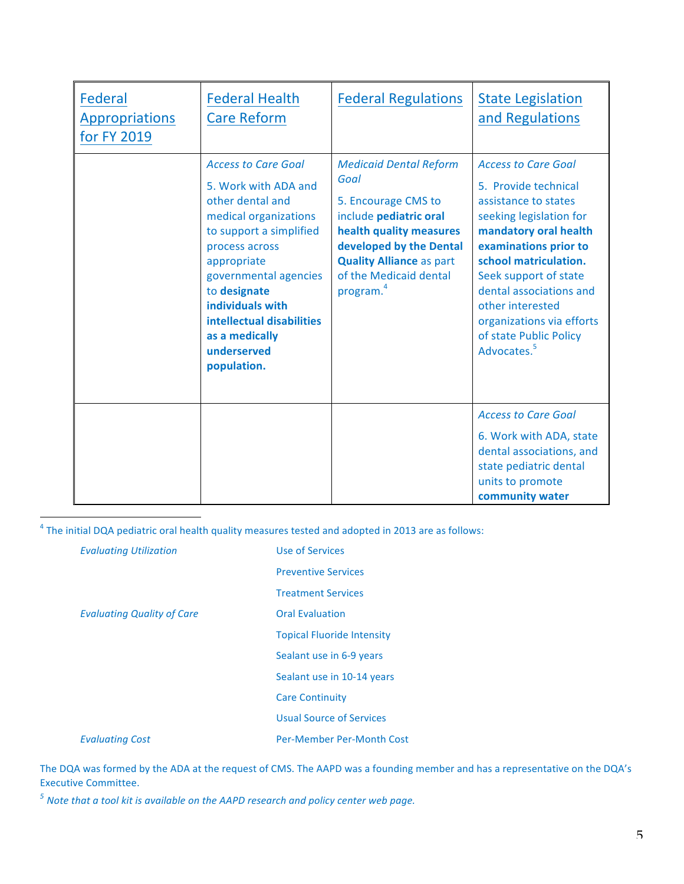| Federal<br><b>Appropriations</b><br>for FY 2019 | <b>Federal Health</b><br><b>Care Reform</b>                                                                                                                                                                                                                                                           | <b>Federal Regulations</b>                                                                                                                                                                                                         | <b>State Legislation</b><br>and Regulations                                                                                                                                                                                                                                                                                                |
|-------------------------------------------------|-------------------------------------------------------------------------------------------------------------------------------------------------------------------------------------------------------------------------------------------------------------------------------------------------------|------------------------------------------------------------------------------------------------------------------------------------------------------------------------------------------------------------------------------------|--------------------------------------------------------------------------------------------------------------------------------------------------------------------------------------------------------------------------------------------------------------------------------------------------------------------------------------------|
|                                                 | <b>Access to Care Goal</b><br>5. Work with ADA and<br>other dental and<br>medical organizations<br>to support a simplified<br>process across<br>appropriate<br>governmental agencies<br>to designate<br>individuals with<br>intellectual disabilities<br>as a medically<br>underserved<br>population. | <b>Medicaid Dental Reform</b><br>Goal<br>5. Encourage CMS to<br>include pediatric oral<br>health quality measures<br>developed by the Dental<br><b>Quality Alliance as part</b><br>of the Medicaid dental<br>program. <sup>4</sup> | <b>Access to Care Goal</b><br>5. Provide technical<br>assistance to states<br>seeking legislation for<br>mandatory oral health<br>examinations prior to<br>school matriculation.<br>Seek support of state<br>dental associations and<br>other interested<br>organizations via efforts<br>of state Public Policy<br>Advocates. <sup>5</sup> |
|                                                 |                                                                                                                                                                                                                                                                                                       |                                                                                                                                                                                                                                    | <b>Access to Care Goal</b><br>6. Work with ADA, state<br>dental associations, and<br>state pediatric dental<br>units to promote<br>community water                                                                                                                                                                                         |

<sup>4</sup> The initial DQA pediatric oral health quality measures tested and adopted in 2013 are as follows:

| <b>Evaluating Utilization</b>     | Use of Services                   |
|-----------------------------------|-----------------------------------|
|                                   | <b>Preventive Services</b>        |
|                                   | <b>Treatment Services</b>         |
| <b>Evaluating Quality of Care</b> | <b>Oral Evaluation</b>            |
|                                   | <b>Topical Fluoride Intensity</b> |
|                                   | Sealant use in 6-9 years          |
|                                   | Sealant use in 10-14 years        |
|                                   | <b>Care Continuity</b>            |
|                                   | <b>Usual Source of Services</b>   |
| <b>Evaluating Cost</b>            | Per-Member Per-Month Cost         |
|                                   |                                   |

The DQA was formed by the ADA at the request of CMS. The AAPD was a founding member and has a representative on the DQA's Executive Committee.

<sup>5</sup> Note that a tool kit is available on the AAPD research and policy center web page.